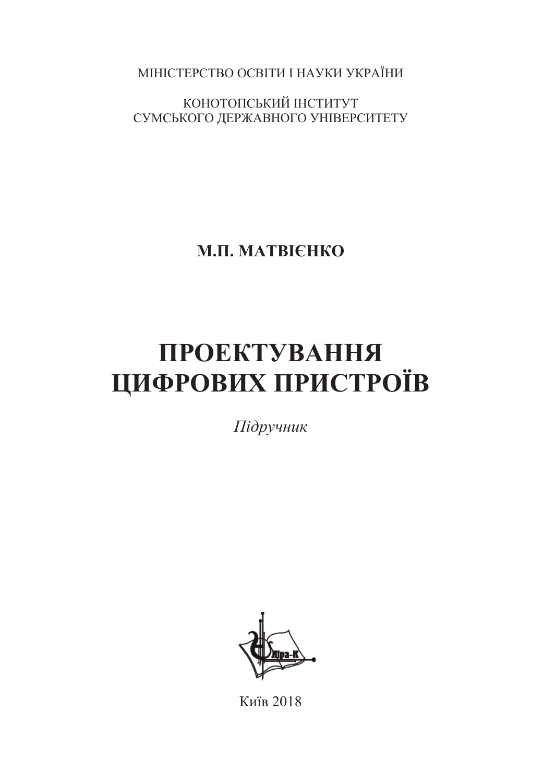МІНІСТЕРСТВО ОСВІТИ І НАУКИ УКРАЇНИ

КОНОТОПСЬКИЙ ІНСТИТУТ СУМСЬКОГО ДЕРЖАВНОГО УНІВЕРСИТЕТУ

**Ɇ.ɉ. ɆȺɌȼȱȯɇɄɈ**

# ПРОЕКТУВАННЯ **ЩИФРОВИХ ПРИСТРОЇВ**

*ɉɿɞɪɭɱɧɢɤ*



Ʉɢʀɜ 2018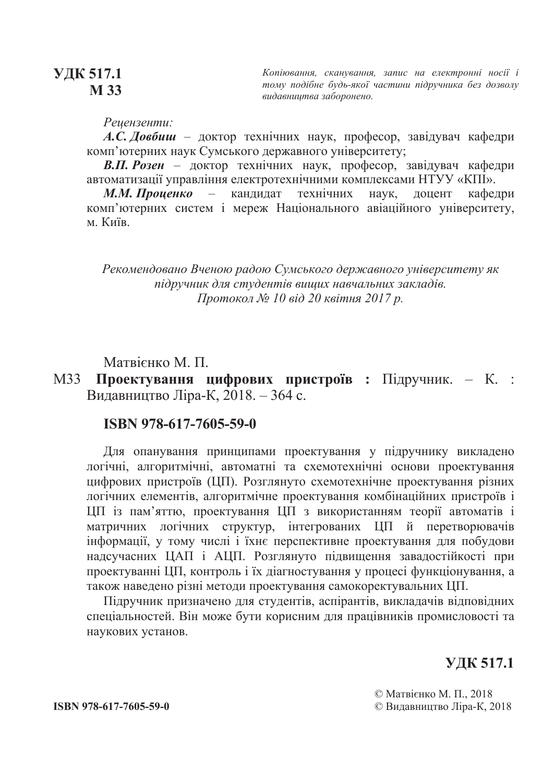# **ɍȾɄ 517.1 M** 33

Копіювання, сканування, запис на електронні носії і  $m$ *ому подібне будь-якої частини підручника без дозволу*  $su$ давниитва заборонено.

 $Peu$ ензенти:

*А.С. Довбиш* – доктор технічних наук, професор, завідувач кафедри комп'ютерних наук Сумського державного університету;

**В.П. Розен** – доктор технічних наук, професор, завідувач кафедри автоматизації управління електротехнічними комплексами НТУУ «КПІ».

М.М. Проценко – кандидат технічних наук, доцент кафедри комп'ютерних систем *і* мереж Національного авіаційного університету, м. Київ.

 $P$ екомендовано Вченою радою Сумського державного університету як *підручник для студентів вищих навчальних закладів.*  $\Pi$ ротокол № 10 від 20 квітня 2017 р.

Матвієнко М. П.

М33 Проектування цифрових пристроїв : Підручник. - К. : Видавництво Ліра-К, 2018. – 364 с.

#### **ISBN 978-617-7605-59-0**

Для опанування принципами проектування у підручнику викладено логічні, алгоритмічні, автоматні та схемотехнічні основи проектування цифрових пристроїв (ЦП). Розглянуто схемотехнічне проектування різних логічних елементів, алгоритмічне проектування комбінаційних пристроїв і ЦП із пам'яттю, проектування ЦП з використанням теорії автоматів і матричних логічних структур, інтегрованих ЦП й перетворювачів інформації, у тому числі і їхнє перспективне проектування для побудови надсучасних ЦАП і АЦП. Розглянуто підвищення завадостійкості при проектуванні ЦП, контроль і їх діагностування у процесі функціонування, а також наведено різні методи проектування самокоректувальних ЦП.

Підручник призначено для студентів, аспірантів, викладачів відповідних спеціальностей. Він може бути корисним для працівників промисловості та наукових установ.

# **ɍȾɄ 517.1**

© Матвієнко М. П., 2018 **ISBN 978-617-7605-59-0** *ISBN 978-617-7605-59-0 ISBN 978-617-7605-59-0*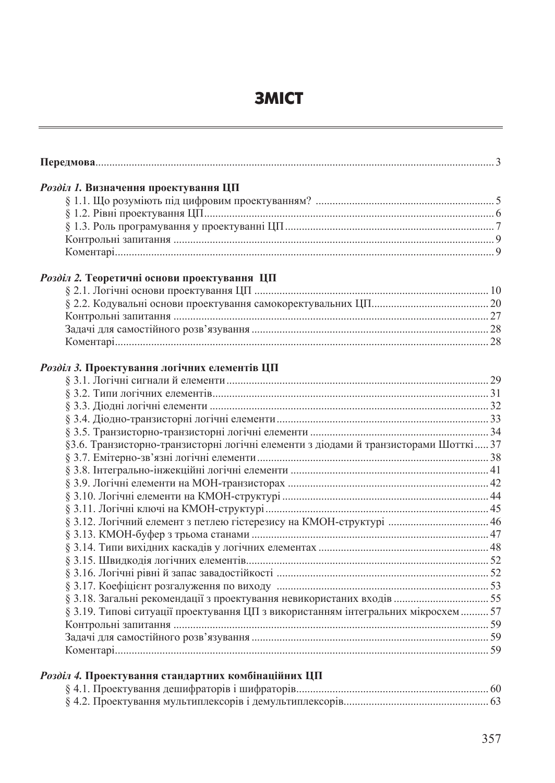# **3MICT**

| Розділ 1. Визначення проектування ЦП                                                 |  |
|--------------------------------------------------------------------------------------|--|
|                                                                                      |  |
|                                                                                      |  |
|                                                                                      |  |
|                                                                                      |  |
|                                                                                      |  |
| Розділ 2. Теоретичні основи проектування ЦП                                          |  |
|                                                                                      |  |
|                                                                                      |  |
|                                                                                      |  |
|                                                                                      |  |
|                                                                                      |  |
|                                                                                      |  |
| Розділ 3. Проектування логічних елементів ЦП                                         |  |
|                                                                                      |  |
|                                                                                      |  |
|                                                                                      |  |
|                                                                                      |  |
|                                                                                      |  |
| §3.6. Транзисторно-транзисторні логічні елементи з діодами й транзисторами Шотткі 37 |  |
|                                                                                      |  |
|                                                                                      |  |
|                                                                                      |  |
|                                                                                      |  |
|                                                                                      |  |
|                                                                                      |  |
|                                                                                      |  |
|                                                                                      |  |
|                                                                                      |  |
|                                                                                      |  |
|                                                                                      |  |
|                                                                                      |  |
| § 3.19. Типові ситуації проектування ЦП з використанням інтегральних мікросхем  57   |  |
|                                                                                      |  |
|                                                                                      |  |
|                                                                                      |  |

# Розділ 4. Проектування стандартних комбінаційних ЦП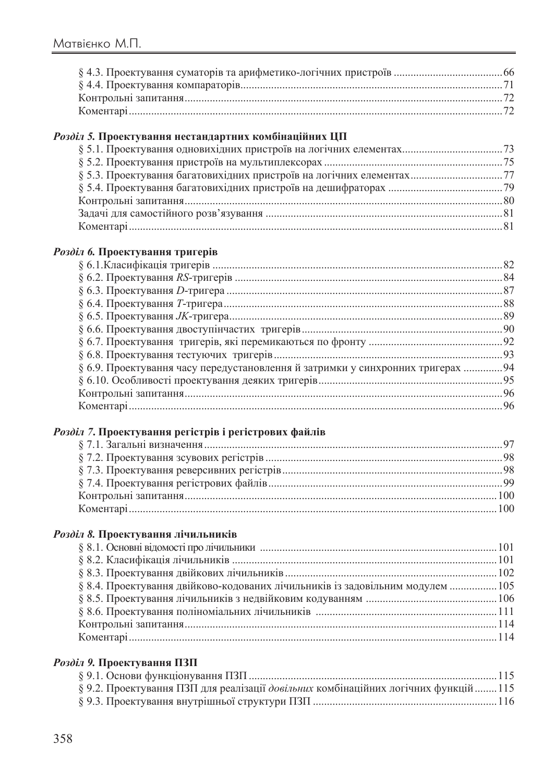# Розділ 5. Проектування нестандартних комбінаційних ЦП

### Розділ 6. Проектування тригерів

| § 6.9. Проектування часу передустановлення й затримки у синхронних тригерах 94 |  |
|--------------------------------------------------------------------------------|--|
|                                                                                |  |
|                                                                                |  |
|                                                                                |  |
|                                                                                |  |

# Розділ 7. Проектування регістрів і регістрових файлів

# Розділ 8. Проектування лічильників

| § 8.4. Проектування двійково-кодованих лічильників із задовільним модулем  105 |  |
|--------------------------------------------------------------------------------|--|
|                                                                                |  |
|                                                                                |  |
|                                                                                |  |
|                                                                                |  |
|                                                                                |  |

# Розділ 9. Проектування ПЗП

| § 9.2. Проектування ПЗП для реалізації довільних комбінаційних логічних функцій115 |  |
|------------------------------------------------------------------------------------|--|
|                                                                                    |  |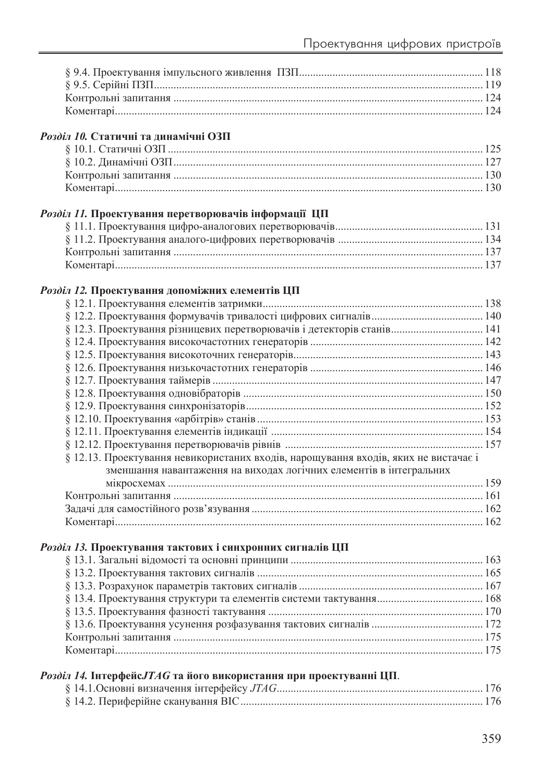| Розділ 10. Статичні та динамічні ОЗП                                                |  |
|-------------------------------------------------------------------------------------|--|
|                                                                                     |  |
|                                                                                     |  |
|                                                                                     |  |
|                                                                                     |  |
| Розділ 11. Проектування перетворювачів інформації ЦП                                |  |
|                                                                                     |  |
|                                                                                     |  |
|                                                                                     |  |
|                                                                                     |  |
|                                                                                     |  |
| Розділ 12. Проектування допоміжних елементів ЦП                                     |  |
|                                                                                     |  |
|                                                                                     |  |
|                                                                                     |  |
|                                                                                     |  |
|                                                                                     |  |
|                                                                                     |  |
|                                                                                     |  |
|                                                                                     |  |
|                                                                                     |  |
|                                                                                     |  |
|                                                                                     |  |
|                                                                                     |  |
| § 12.13. Проектування невикористаних входів, нарощування входів, яких не вистачає і |  |
| зменшання навантаження на виходах логічних елементів в інтегральних                 |  |
|                                                                                     |  |
|                                                                                     |  |
|                                                                                     |  |
|                                                                                     |  |
| Розділ 13. Проектування тактових і синхронних сигналів ЦП                           |  |
|                                                                                     |  |
|                                                                                     |  |
|                                                                                     |  |
|                                                                                     |  |
|                                                                                     |  |
|                                                                                     |  |
|                                                                                     |  |
|                                                                                     |  |
| Розділ 14. Інтерфейс ЛАС та його використання при проектуванні ЦП.                  |  |
|                                                                                     |  |
|                                                                                     |  |
|                                                                                     |  |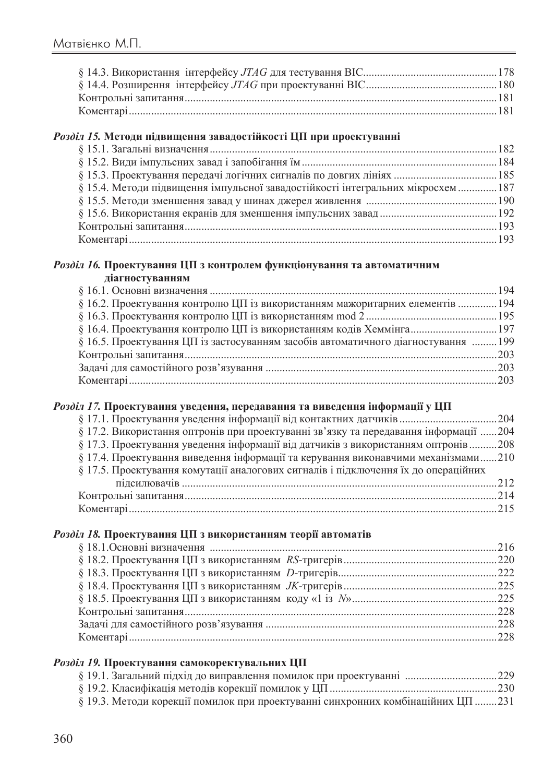#### Розділ 15. Методи підвищення завадостійкості ЦП при проектуванні

| § 15.4. Методи підвищення імпульсної завадостійкості інтегральних мікросхем  187 |  |
|----------------------------------------------------------------------------------|--|
|                                                                                  |  |
|                                                                                  |  |
|                                                                                  |  |
|                                                                                  |  |
|                                                                                  |  |

#### Розділ 16. Проектування ЦП з контролем функціонування та автоматичним діагностуванням

| $\S$ 16.2. Проектування контролю ЦП із використанням мажоритарних елементів  194   |  |
|------------------------------------------------------------------------------------|--|
|                                                                                    |  |
|                                                                                    |  |
| § 16.5. Проектування ЦП із застосуванням засобів автоматичного діагностування  199 |  |
|                                                                                    |  |
|                                                                                    |  |
|                                                                                    |  |
|                                                                                    |  |

# Розділ 17. Проектування уведення, передавання та виведення інформації у ЦП

| § 17.2. Використання оптронів при проектуванні зв'язку та передавання інформації 204 |
|--------------------------------------------------------------------------------------|
| § 17.3. Проектування уведення інформації від датчиків з використанням оптронів  208  |
| $\S$ 17.4. Проектування виведення інформації та керування виконавчими механізмами210 |
|                                                                                      |
|                                                                                      |
|                                                                                      |
|                                                                                      |
|                                                                                      |

## Розділ 18. Проектування ЦП з використанням теорії автоматів

# Розділ 19. Проектування самокоректувальних ЦП

|  |  |  | § 19.3. Методи корекції помилок при проектуванні синхронних комбінаційних ЦП 231 |  |
|--|--|--|----------------------------------------------------------------------------------|--|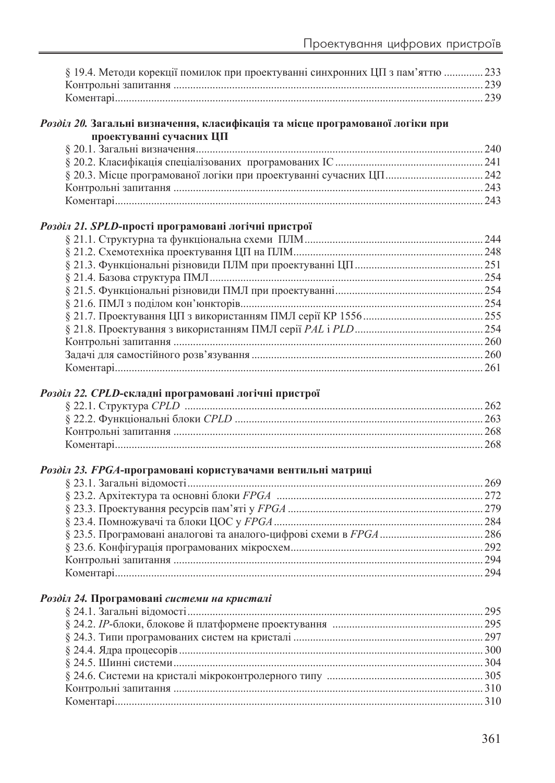| § 19.4. Методи корекції помилок при проектуванні синхронних ЦП з пам'яттю  233 |  |
|--------------------------------------------------------------------------------|--|
|                                                                                |  |
|                                                                                |  |

#### Розділ 20. Загальні визначення, класифікація та місце програмованої логіки при проектуванні сучасних ЦП

#### Розділ 21. SPLD-прості програмовані логічні пристрої

#### Розділ 22. СРІД-складні програмовані логічні пристрої

#### Розділ 23. ҒРСА-програмовані користувачами вентильні матриці

#### Розділ 24. Програмовані системи на кристалі